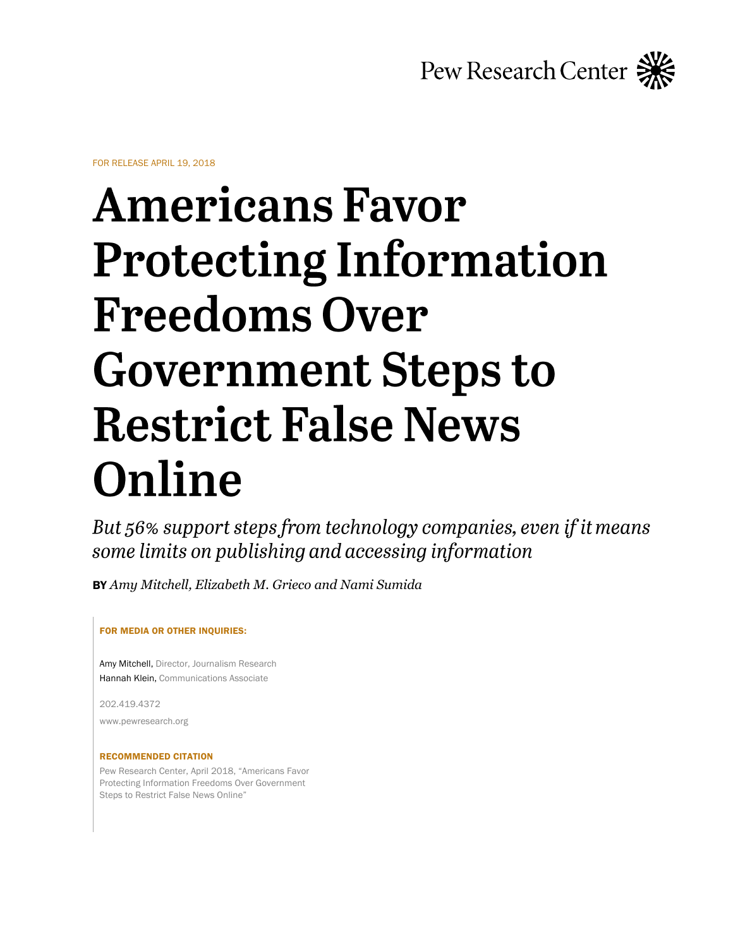

FOR RELEASE APRIL 19, 2018

# **Americans Favor Protecting Information Freedoms Over Government Steps to Restrict False News** Online

But 56% support steps from technology companies, even if it means some limits on publishing and accessing information

BY *Amy Mitchell, Elizabeth M. Grieco and Nami Sumida* 

#### FOR MEDIA OR OTHER INQUIRIES:

Amy Mitchell, Director, Journalism Research Hannah Klein, Communications Associate

202.419.4372

www.pewresearch.org

#### RECOMMENDED CITATION

Pew Research Center, April 2018, "Americans Favor Protecting Information Freedoms Over Government Steps to Restrict False News Online"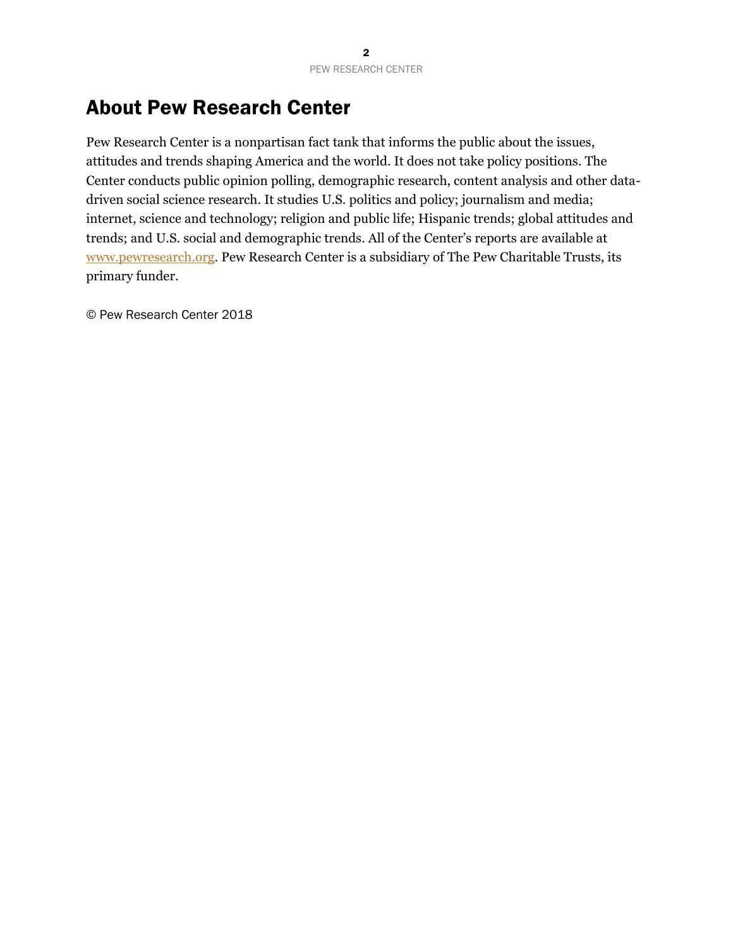# About Pew Research Center

Pew Research Center is a nonpartisan fact tank that informs the public about the issues, attitudes and trends shaping America and the world. It does not take policy positions. The Center conducts public opinion polling, demographic research, content analysis and other datadriven social science research. It studies U.S. politics and policy; journalism and media; internet, science and technology; religion and public life; Hispanic trends; global attitudes and trends; and U.S. social and demographic trends. All of the Center's reports are available at [www.pewresearch.org.](http://www.pewresearch.org/) Pew Research Center is a subsidiary of The Pew Charitable Trusts, its primary funder.

© Pew Research Center 2018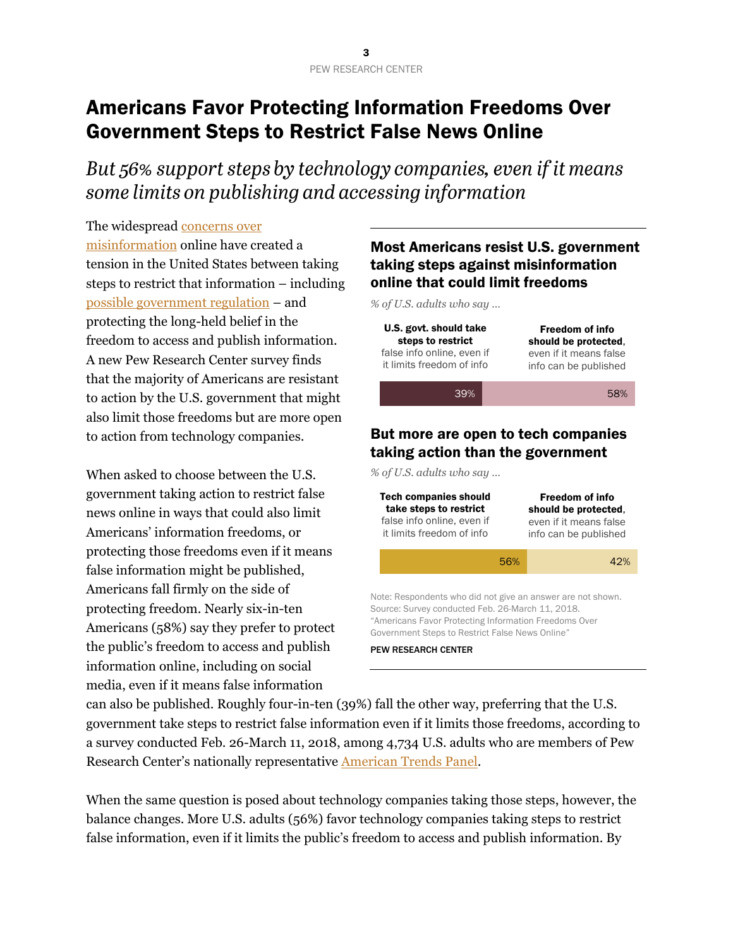# Americans Favor Protecting Information Freedoms Over Government Steps to Restrict False News Online

But 56% support steps by technology companies, even if it means some limits on publishing and accessing information

The widespread [concerns over](http://www.journalism.org/2016/12/15/many-americans-believe-fake-news-is-sowing-confusion/)  [misinformation](http://www.journalism.org/2016/12/15/many-americans-believe-fake-news-is-sowing-confusion/) online have created a tension in the United States between taking steps to restrict that information – including [possible government regulation](https://leginfo.legislature.ca.gov/faces/billTextClient.xhtml?bill_id=201720180SB1424) – and protecting the long-held belief in the freedom to access and publish information. A new Pew Research Center survey finds that the majority of Americans are resistant to action by the U.S. government that might also limit those freedoms but are more open to action from technology companies.

When asked to choose between the U.S. government taking action to restrict false news online in ways that could also limit Americans' information freedoms, or protecting those freedoms even if it means false information might be published, Americans fall firmly on the side of protecting freedom. Nearly six-in-ten Americans (58%) say they prefer to protect the public's freedom to access and publish information online, including on social media, even if it means false information

## Most Americans resist U.S. government taking steps against misinformation online that could limit freedoms

*% of U.S. adults who say …*

| U.S. govt. should take     | <b>Freedom of info</b> |
|----------------------------|------------------------|
| steps to restrict          | should be protected.   |
| false info online, even if | even if it means false |
| it limits freedom of info  | info can be published  |
| 39%                        | 58%                    |

#### But more are open to tech companies taking action than the government

*% of U.S. adults who say …*

| <b>Tech companies should</b><br>take steps to restrict<br>false info online, even if<br>it limits freedom of info                                                                                                           |     | <b>Freedom of info</b><br>should be protected.<br>even if it means false<br>info can be published |  |
|-----------------------------------------------------------------------------------------------------------------------------------------------------------------------------------------------------------------------------|-----|---------------------------------------------------------------------------------------------------|--|
|                                                                                                                                                                                                                             | 56% | 42%                                                                                               |  |
| Note: Respondents who did not give an answer are not shown.<br>Source: Survey conducted Feb. 26-March 11, 2018.<br>"Americans Favor Protecting Information Freedoms Over<br>Government Steps to Restrict False News Online" |     |                                                                                                   |  |
| <b>PEW RESEARCH CENTER</b>                                                                                                                                                                                                  |     |                                                                                                   |  |

can also be published. Roughly four-in-ten (39%) fall the other way, preferring that the U.S. government take steps to restrict false information even if it limits those freedoms, according to a survey conducted Feb. 26-March 11, 2018, among 4,734 U.S. adults who are members of Pew Research Center's nationally representative [American Trends Panel.](http://www.pewresearch.org/methodology/u-s-survey-research/american-trends-panel/)

When the same question is posed about technology companies taking those steps, however, the balance changes. More U.S. adults (56%) favor technology companies taking steps to restrict false information, even if it limits the public's freedom to access and publish information. By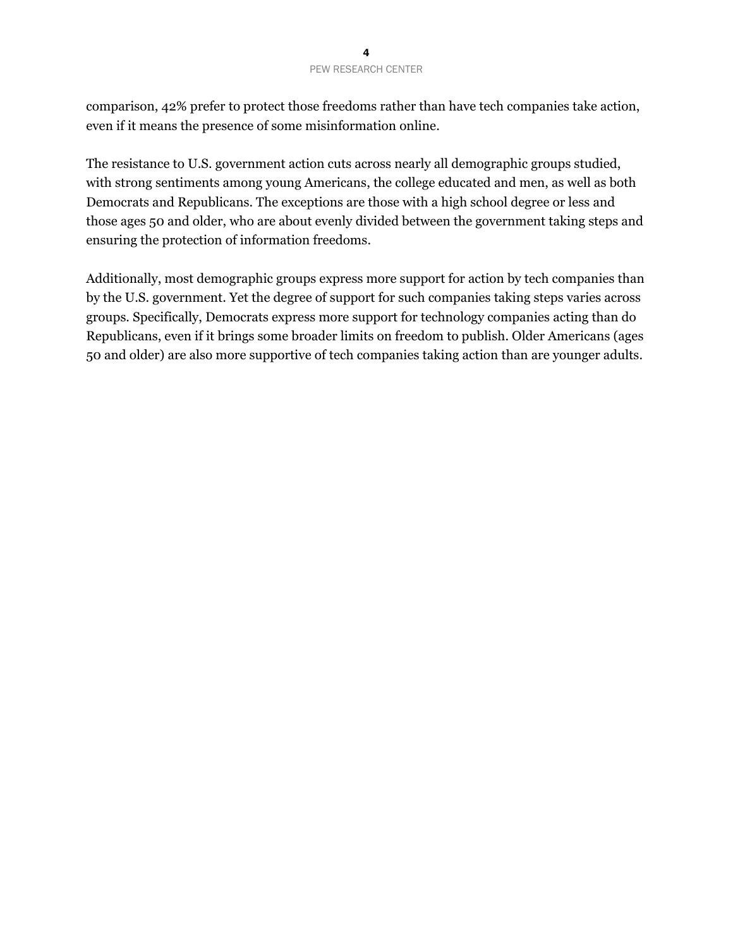comparison, 42% prefer to protect those freedoms rather than have tech companies take action, even if it means the presence of some misinformation online.

The resistance to U.S. government action cuts across nearly all demographic groups studied, with strong sentiments among young Americans, the college educated and men, as well as both Democrats and Republicans. The exceptions are those with a high school degree or less and those ages 50 and older, who are about evenly divided between the government taking steps and ensuring the protection of information freedoms.

Additionally, most demographic groups express more support for action by tech companies than by the U.S. government. Yet the degree of support for such companies taking steps varies across groups. Specifically, Democrats express more support for technology companies acting than do Republicans, even if it brings some broader limits on freedom to publish. Older Americans (ages 50 and older) are also more supportive of tech companies taking action than are younger adults.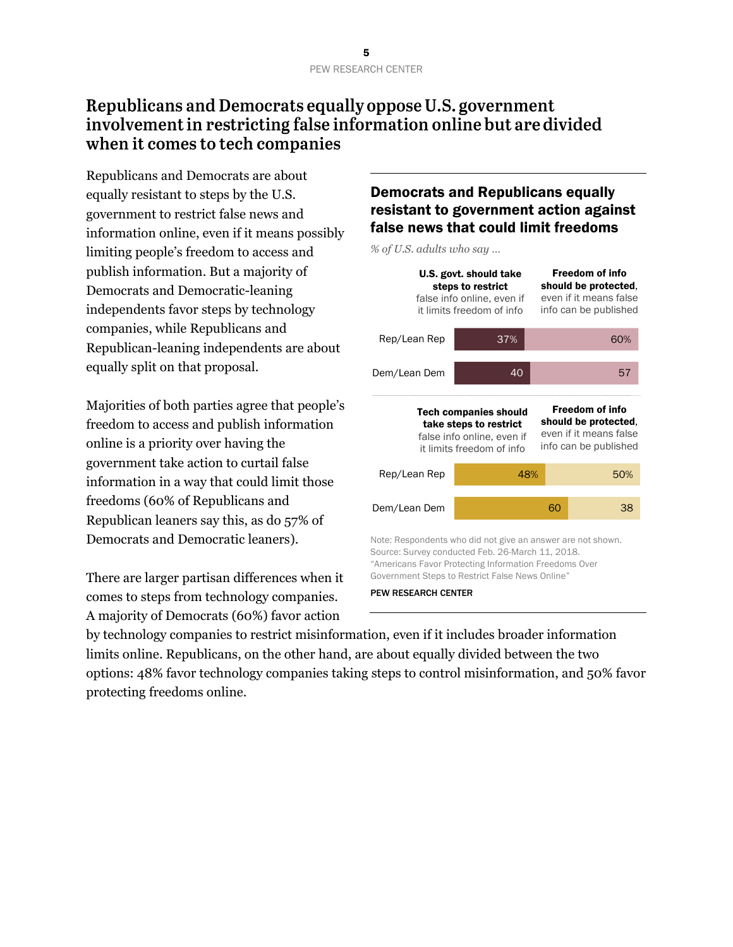## Republicans and Democrats equally oppose U.S. government involvement in restricting false information online but are divided when it comes to tech companies

Republicans and Democrats are about equally resistant to steps by the U.S. government to restrict false news and information online, even if it means possibly limiting people's freedom to access and publish information. But a majority of Democrats and Democratic-leaning independents favor steps by technology companies, while Republicans and Republican-leaning independents are about equally split on that proposal.

Majorities of both parties agree that people's freedom to access and publish information online is a priority over having the government take action to curtail false information in a way that could limit those freedoms (60% of Republicans and Republican leaners say this, as do 57% of Democrats and Democratic leaners).

There are larger partisan differences when it comes to steps from technology companies. A majority of Democrats (60%) favor action

## Democrats and Republicans equally resistant to government action against false news that could limit freedoms

*% of U.S. adults who say …*

|                                                                                                                                                                                                                        | U.S. govt. should take<br>steps to restrict<br>false info online, even if<br>it limits freedom of info                                                                                                                      |    | <b>Freedom of info</b><br>should be protected,<br>even if it means false<br>info can be published |  |
|------------------------------------------------------------------------------------------------------------------------------------------------------------------------------------------------------------------------|-----------------------------------------------------------------------------------------------------------------------------------------------------------------------------------------------------------------------------|----|---------------------------------------------------------------------------------------------------|--|
| Rep/Lean Rep                                                                                                                                                                                                           | 37%                                                                                                                                                                                                                         |    | 60%                                                                                               |  |
| Dem/Lean Dem                                                                                                                                                                                                           | 40                                                                                                                                                                                                                          |    | 57                                                                                                |  |
| <b>Freedom of info</b><br><b>Tech companies should</b><br>should be protected.<br>take steps to restrict<br>even if it means false<br>false info online, even if<br>info can be published<br>it limits freedom of info |                                                                                                                                                                                                                             |    |                                                                                                   |  |
| Rep/Lean Rep                                                                                                                                                                                                           | 48%                                                                                                                                                                                                                         |    | 50%                                                                                               |  |
| Dem/Lean Dem                                                                                                                                                                                                           |                                                                                                                                                                                                                             | 60 | 38                                                                                                |  |
|                                                                                                                                                                                                                        | Note: Respondents who did not give an answer are not shown.<br>Source: Survey conducted Feb. 26-March 11, 2018.<br>"Americans Favor Protecting Information Freedoms Over<br>Government Steps to Restrict False News Online" |    |                                                                                                   |  |
| <b>PEW RESEARCH CENTER</b>                                                                                                                                                                                             |                                                                                                                                                                                                                             |    |                                                                                                   |  |

by technology companies to restrict misinformation, even if it includes broader information limits online. Republicans, on the other hand, are about equally divided between the two options: 48% favor technology companies taking steps to control misinformation, and 50% favor protecting freedoms online.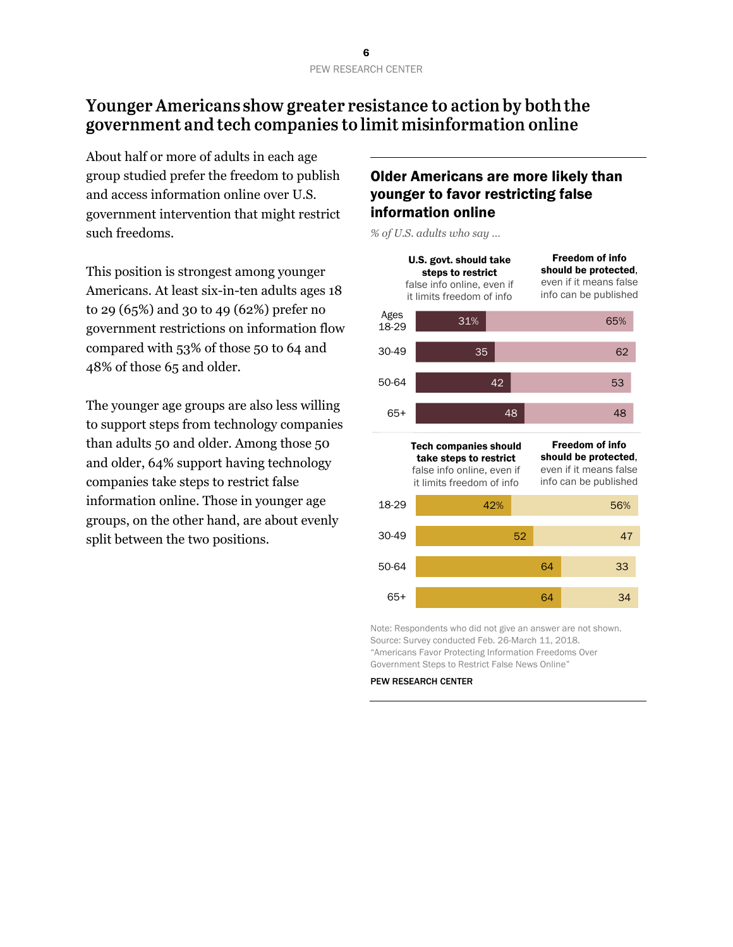## Younger Americans show greater resistance to action by both the government and tech companies to limit misinformation online

About half or more of adults in each age group studied prefer the freedom to publish and access information online over U.S. government intervention that might restrict such freedoms.

This position is strongest among younger Americans. At least six-in-ten adults ages 18 to 29 (65%) and 30 to 49 (62%) prefer no government restrictions on information flow compared with 53% of those 50 to 64 and 48% of those 65 and older.

The younger age groups are also less willing to support steps from technology companies than adults 50 and older. Among those 50 and older, 64% support having technology companies take steps to restrict false information online. Those in younger age groups, on the other hand, are about evenly split between the two positions.

#### Older Americans are more likely than younger to favor restricting false information online

*% of U.S. adults who say …*



Note: Respondents who did not give an answer are not shown. Source: Survey conducted Feb. 26-March 11, 2018. "Americans Favor Protecting Information Freedoms Over Government Steps to Restrict False News Online"

#### PEW RESEARCH CENTER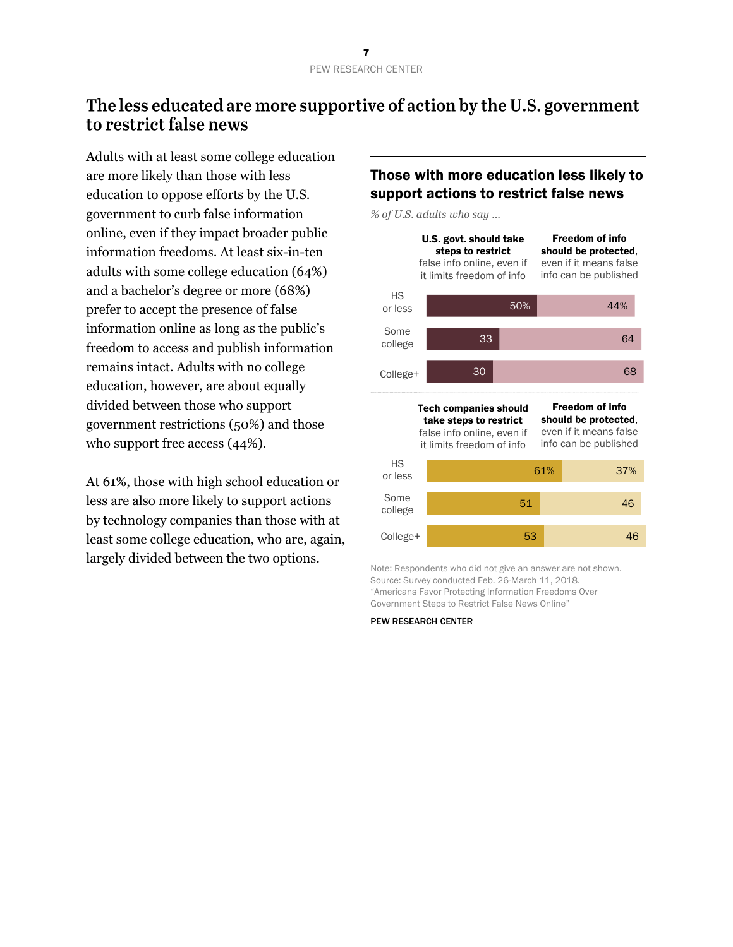## The less educated are more supportive of action by the U.S. government to restrict false news

Adults with at least some college education are more likely than those with less education to oppose efforts by the U.S. government to curb false information online, even if they impact broader public information freedoms. At least six-in-ten adults with some college education (64%) and a bachelor's degree or more (68%) prefer to accept the presence of false information online as long as the public's freedom to access and publish information remains intact. Adults with no college education, however, are about equally divided between those who support government restrictions (50%) and those who support free access (44%).

At 61%, those with high school education or less are also more likely to support actions by technology companies than those with at least some college education, who are, again, largely divided between the two options.

## Those with more education less likely to support actions to restrict false news

*% of U.S. adults who say …*



Note: Respondents who did not give an answer are not shown. Source: Survey conducted Feb. 26-March 11, 2018. "Americans Favor Protecting Information Freedoms Over Government Steps to Restrict False News Online"

#### PEW RESEARCH CENTER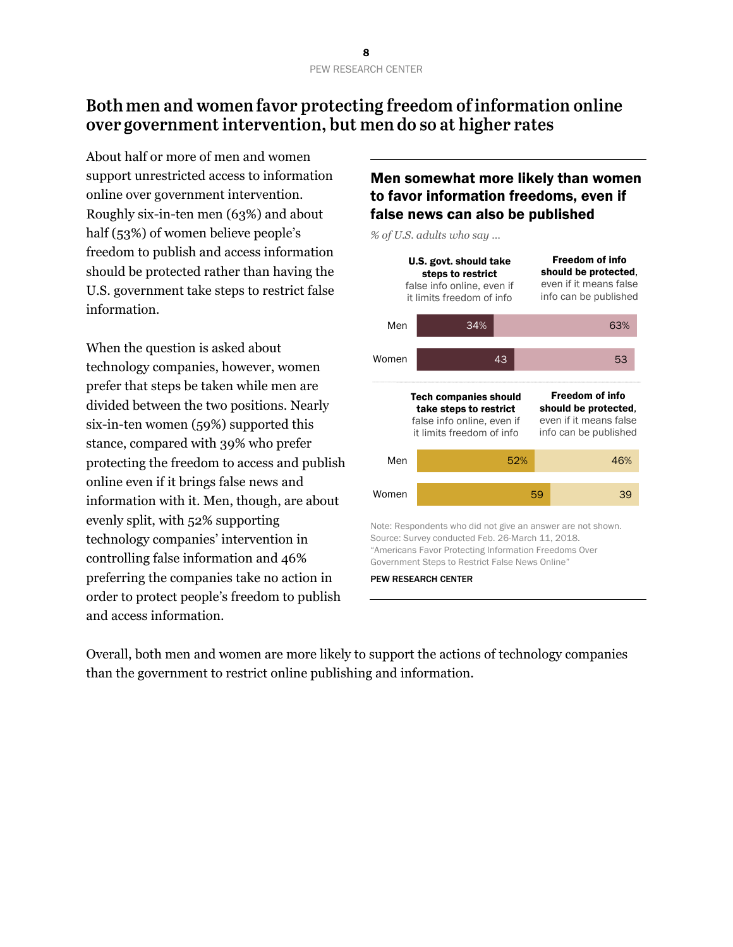## Both men and women favor protecting freedom of information online over government intervention, but men do so at higher rates

About half or more of men and women support unrestricted access to information online over government intervention. Roughly six-in-ten men (63%) and about half (53%) of women believe people's freedom to publish and access information should be protected rather than having the U.S. government take steps to restrict false information.

When the question is asked about technology companies, however, women prefer that steps be taken while men are divided between the two positions. Nearly six-in-ten women (59%) supported this stance, compared with 39% who prefer protecting the freedom to access and publish online even if it brings false news and information with it. Men, though, are about evenly split, with 52% supporting technology companies' intervention in controlling false information and 46% preferring the companies take no action in order to protect people's freedom to publish and access information.

#### Men somewhat more likely than women to favor information freedoms, even if false news can also be published

*% of U.S. adults who say …*



Overall, both men and women are more likely to support the actions of technology companies than the government to restrict online publishing and information.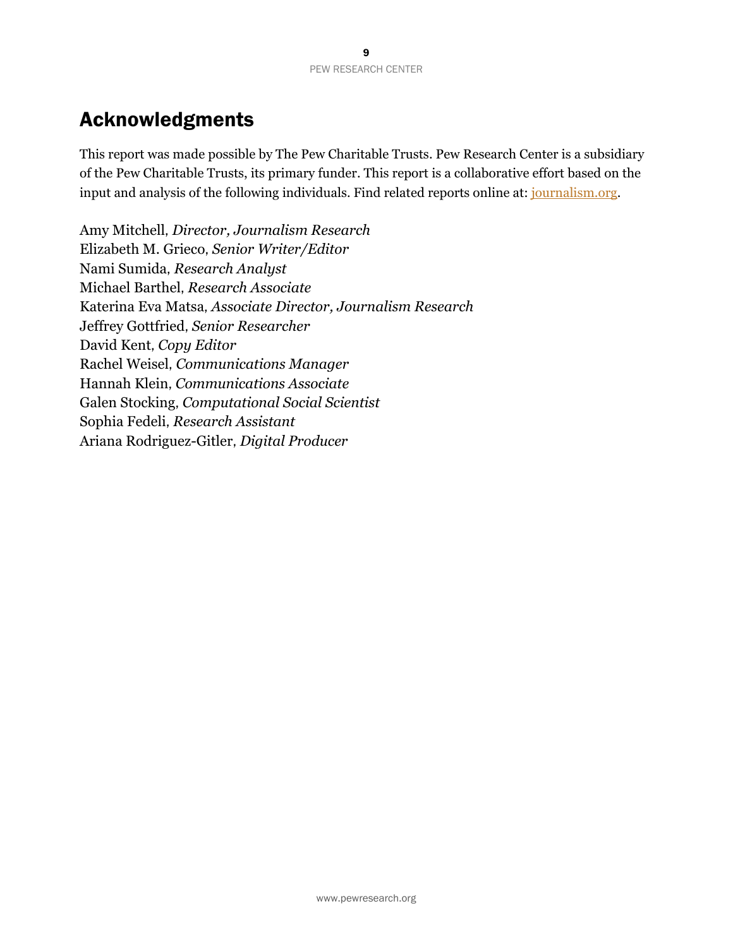# Acknowledgments

This report was made possible by The Pew Charitable Trusts. Pew Research Center is a subsidiary of the Pew Charitable Trusts, its primary funder. This report is a collaborative effort based on the input and analysis of the following individuals. Find related reports online at: [journalism.org.](http://www.journalism.org/fact-sheet/cable-news/)

Amy Mitchell, *Director, Journalism Research*  Elizabeth M. Grieco, *Senior Writer/Editor*  Nami Sumida, *Research Analyst*  Michael Barthel, *Research Associate*  Katerina Eva Matsa, *Associate Director, Journalism Research* Jeffrey Gottfried, *Senior Researcher*  David Kent, *Copy Editor* Rachel Weisel, *Communications Manager* Hannah Klein, *Communications Associate* Galen Stocking, *Computational Social Scientist* Sophia Fedeli, *Research Assistant* Ariana Rodriguez-Gitler, *Digital Producer*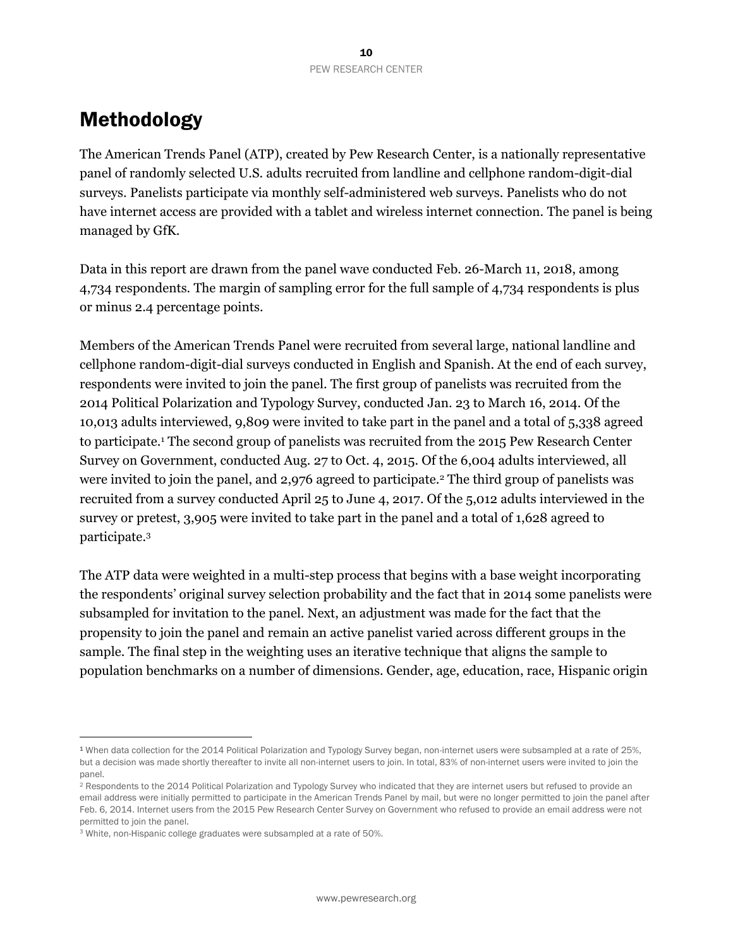# Methodology

The American Trends Panel (ATP), created by Pew Research Center, is a nationally representative panel of randomly selected U.S. adults recruited from landline and cellphone random-digit-dial surveys. Panelists participate via monthly self-administered web surveys. Panelists who do not have internet access are provided with a tablet and wireless internet connection. The panel is being managed by GfK.

Data in this report are drawn from the panel wave conducted Feb. 26-March 11, 2018, among 4,734 respondents. The margin of sampling error for the full sample of 4,734 respondents is plus or minus 2.4 percentage points.

Members of the American Trends Panel were recruited from several large, national landline and cellphone random-digit-dial surveys conducted in English and Spanish. At the end of each survey, respondents were invited to join the panel. The first group of panelists was recruited from the 2014 Political Polarization and Typology Survey, conducted Jan. 23 to March 16, 2014. Of the 10,013 adults interviewed, 9,809 were invited to take part in the panel and a total of 5,338 agreed to participate.<sup>1</sup> The second group of panelists was recruited from the 2015 Pew Research Center Survey on Government, conducted Aug. 27 to Oct. 4, 2015. Of the 6,004 adults interviewed, all were invited to join the panel, and 2,976 agreed to participate.<sup>2</sup> The third group of panelists was recruited from a survey conducted April 25 to June 4, 2017. Of the 5,012 adults interviewed in the survey or pretest, 3,905 were invited to take part in the panel and a total of 1,628 agreed to participate. 3

The ATP data were weighted in a multi-step process that begins with a base weight incorporating the respondents' original survey selection probability and the fact that in 2014 some panelists were subsampled for invitation to the panel. Next, an adjustment was made for the fact that the propensity to join the panel and remain an active panelist varied across different groups in the sample. The final step in the weighting uses an iterative technique that aligns the sample to population benchmarks on a number of dimensions. Gender, age, education, race, Hispanic origin

l

<sup>1</sup> When data collection for the 2014 Political Polarization and Typology Survey began, non-internet users were subsampled at a rate of 25%, but a decision was made shortly thereafter to invite all non-internet users to join. In total, 83% of non-internet users were invited to join the panel.

<sup>&</sup>lt;sup>2</sup> Respondents to the 2014 Political Polarization and Typology Survey who indicated that they are internet users but refused to provide an email address were initially permitted to participate in the American Trends Panel by mail, but were no longer permitted to join the panel after Feb. 6, 2014. Internet users from the 2015 Pew Research Center Survey on Government who refused to provide an email address were not permitted to join the panel.

<sup>3</sup> White, non-Hispanic college graduates were subsampled at a rate of 50%.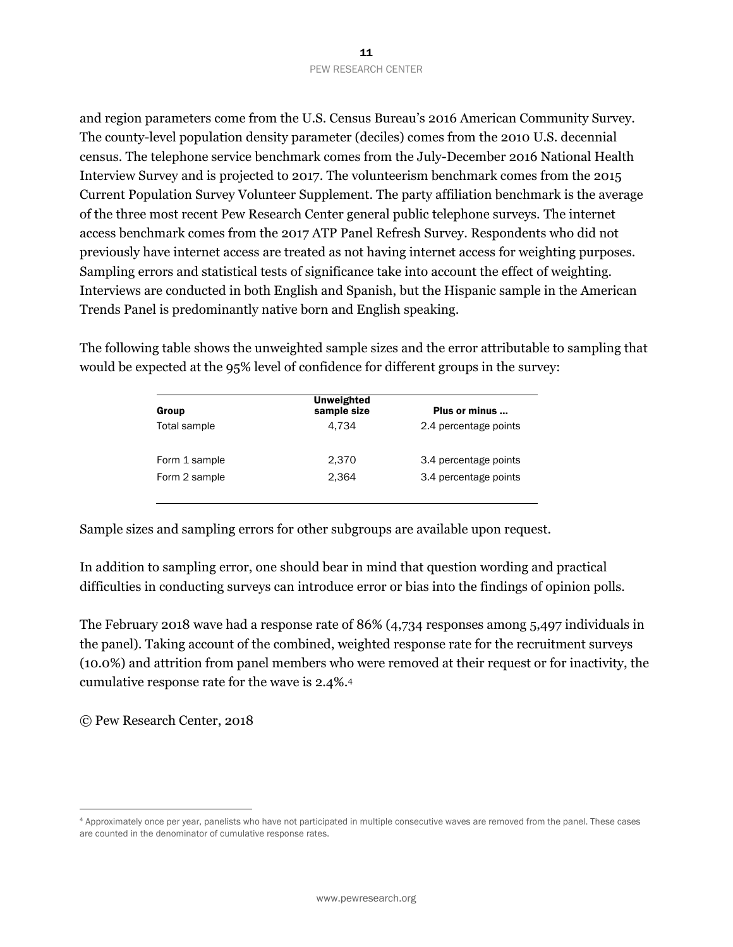and region parameters come from the U.S. Census Bureau's 2016 American Community Survey. The county-level population density parameter (deciles) comes from the 2010 U.S. decennial census. The telephone service benchmark comes from the July-December 2016 National Health Interview Survey and is projected to 2017. The volunteerism benchmark comes from the 2015 Current Population Survey Volunteer Supplement. The party affiliation benchmark is the average of the three most recent Pew Research Center general public telephone surveys. The internet access benchmark comes from the 2017 ATP Panel Refresh Survey. Respondents who did not previously have internet access are treated as not having internet access for weighting purposes. Sampling errors and statistical tests of significance take into account the effect of weighting. Interviews are conducted in both English and Spanish, but the Hispanic sample in the American Trends Panel is predominantly native born and English speaking.

The following table shows the unweighted sample sizes and the error attributable to sampling that would be expected at the 95% level of confidence for different groups in the survey:

| Group         | <b>Unweighted</b><br>sample size | Plus or minus         |
|---------------|----------------------------------|-----------------------|
| Total sample  | 4.734                            | 2.4 percentage points |
| Form 1 sample | 2.370                            | 3.4 percentage points |
| Form 2 sample | 2.364                            | 3.4 percentage points |
|               |                                  |                       |

Sample sizes and sampling errors for other subgroups are available upon request.

In addition to sampling error, one should bear in mind that question wording and practical difficulties in conducting surveys can introduce error or bias into the findings of opinion polls.

The February 2018 wave had a response rate of 86% (4,734 responses among 5,497 individuals in the panel). Taking account of the combined, weighted response rate for the recruitment surveys (10.0%) and attrition from panel members who were removed at their request or for inactivity, the cumulative response rate for the wave is 2.4%. 4

© Pew Research Center, 2018

l

<sup>4</sup> Approximately once per year, panelists who have not participated in multiple consecutive waves are removed from the panel. These cases are counted in the denominator of cumulative response rates.